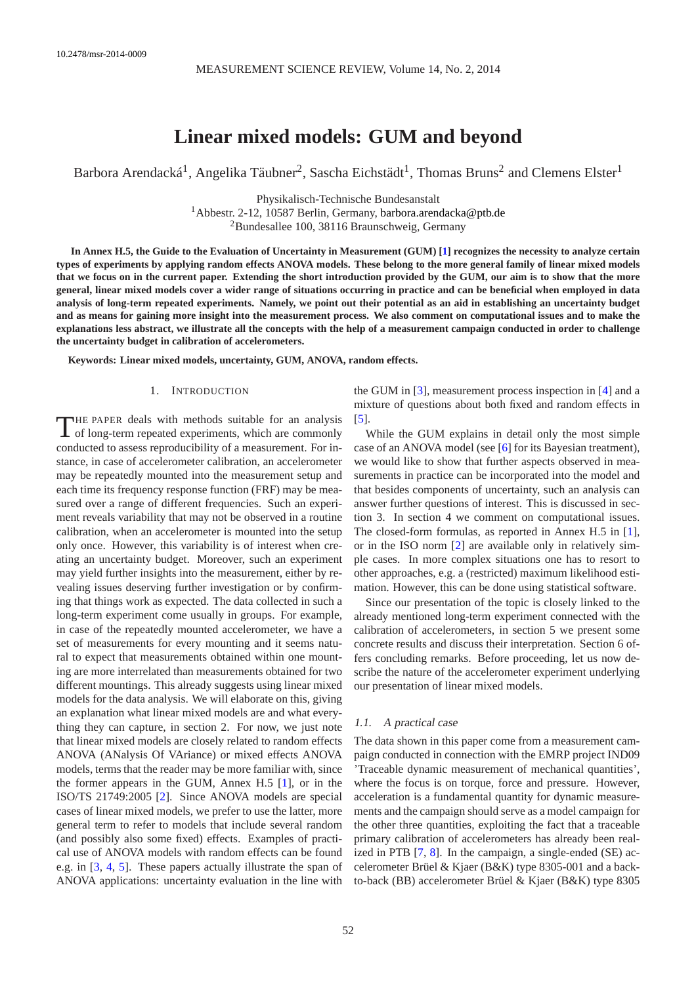# **Linear mixed models: GUM and beyond**

Barbora Arendacká<sup>1</sup>, Angelika Täubner<sup>2</sup>, Sascha Eichstädt<sup>1</sup>, Thomas Bruns<sup>2</sup> and Clemens Elster<sup>1</sup>

Physikalisch-Technische Bundesanstalt

<sup>1</sup>Abbestr. 2-12, 10587 Berlin, Germany, [barbora.arendacka@ptb.de](mailto:barbora.arendacka@ptb.de)

<sup>2</sup>Bundesallee 100, 38116 Braunschweig, Germany

**In Annex H.5, the Guide to the Evaluation of Uncertainty in Measurement (GUM) [\[1\]](#page-9-0) recognizes the necessity to analyze certain types of experiments by applying random effects ANOVA models. These belong to the more general family of linear mixed models that we focus on in the current paper. Extending the short introduction provided by the GUM, our aim is to show that the more general, linear mixed models cover a wider range of situations occurring in practice and can be beneficial when employed in data analysis of long-term repeated experiments. Namely, we point out their potential as an aid in establishing an uncertainty budget and as means for gaining more insight into the measurement process. We also comment on computational issues and to make the explanations less abstract, we illustrate all the concepts with the help of a measurement campaign conducted in order to challenge the uncertainty budget in calibration of accelerometers.**

**Keywords: Linear mixed models, uncertainty, GUM, ANOVA, random effects.**

## 1. INTRODUCTION

THE PAPER deals with methods suitable for an analysis of long-term repeated experiments, which are commonly HE PAPER deals with methods suitable for an analysis conducted to assess reproducibility of a measurement. For instance, in case of accelerometer calibration, an accelerometer may be repeatedly mounted into the measurement setup and each time its frequency response function (FRF) may be measured over a range of different frequencies. Such an experiment reveals variability that may not be observed in a routine calibration, when an accelerometer is mounted into the setup only once. However, this variability is of interest when creating an uncertainty budget. Moreover, such an experiment may yield further insights into the measurement, either by revealing issues deserving further investigation or by confirming that things work as expected. The data collected in such a long-term experiment come usually in groups. For example, in case of the repeatedly mounted accelerometer, we have a set of measurements for every mounting and it seems natural to expect that measurements obtained within one mounting are more interrelated than measurements obtained for two different mountings. This already suggests using linear mixed models for the data analysis. We will elaborate on this, giving an explanation what linear mixed models are and what everything they can capture, in section 2. For now, we just note that linear mixed models are closely related to random effects ANOVA (ANalysis Of VAriance) or mixed effects ANOVA models, terms that the reader may be more familiar with, since the former appears in the GUM, Annex H.5 [\[1\]](#page-9-0), or in the ISO/TS 21749:2005 [\[2\]](#page-9-1). Since ANOVA models are special cases of linear mixed models, we prefer to use the latter, more general term to refer to models that include several random (and possibly also some fixed) effects. Examples of practical use of ANOVA models with random effects can be found e.g. in [\[3,](#page-9-2) [4,](#page-9-3) [5\]](#page-9-4). These papers actually illustrate the span of ANOVA applications: uncertainty evaluation in the line with the GUM in [\[3\]](#page-9-2), measurement process inspection in [\[4\]](#page-9-3) and a mixture of questions about both fixed and random effects in [\[5\]](#page-9-4).

While the GUM explains in detail only the most simple case of an ANOVA model (see [\[6\]](#page-9-5) for its Bayesian treatment), we would like to show that further aspects observed in measurements in practice can be incorporated into the model and that besides components of uncertainty, such an analysis can answer further questions of interest. This is discussed in section 3. In section 4 we comment on computational issues. The closed-form formulas, as reported in Annex H.5 in [\[1\]](#page-9-0), or in the ISO norm [\[2\]](#page-9-1) are available only in relatively simple cases. In more complex situations one has to resort to other approaches, e.g. a (restricted) maximum likelihood estimation. However, this can be done using statistical software.

Since our presentation of the topic is closely linked to the already mentioned long-term experiment connected with the calibration of accelerometers, in section 5 we present some concrete results and discuss their interpretation. Section 6 offers concluding remarks. Before proceeding, let us now describe the nature of the accelerometer experiment underlying our presentation of linear mixed models.

### 1.1. <sup>A</sup> practical case

The data shown in this paper come from a measurement campaign conducted in connection with the EMRP project IND09 'Traceable dynamic measurement of mechanical quantities', where the focus is on torque, force and pressure. However, acceleration is a fundamental quantity for dynamic measurements and the campaign should serve as a model campaign for the other three quantities, exploiting the fact that a traceable primary calibration of accelerometers has already been realized in PTB [\[7,](#page-9-6) [8\]](#page-9-7). In the campaign, a single-ended (SE) accelerometer Brüel & Kjaer (B&K) type 8305-001 and a backto-back (BB) accelerometer Brüel & Kjaer (B&K) type  $8305$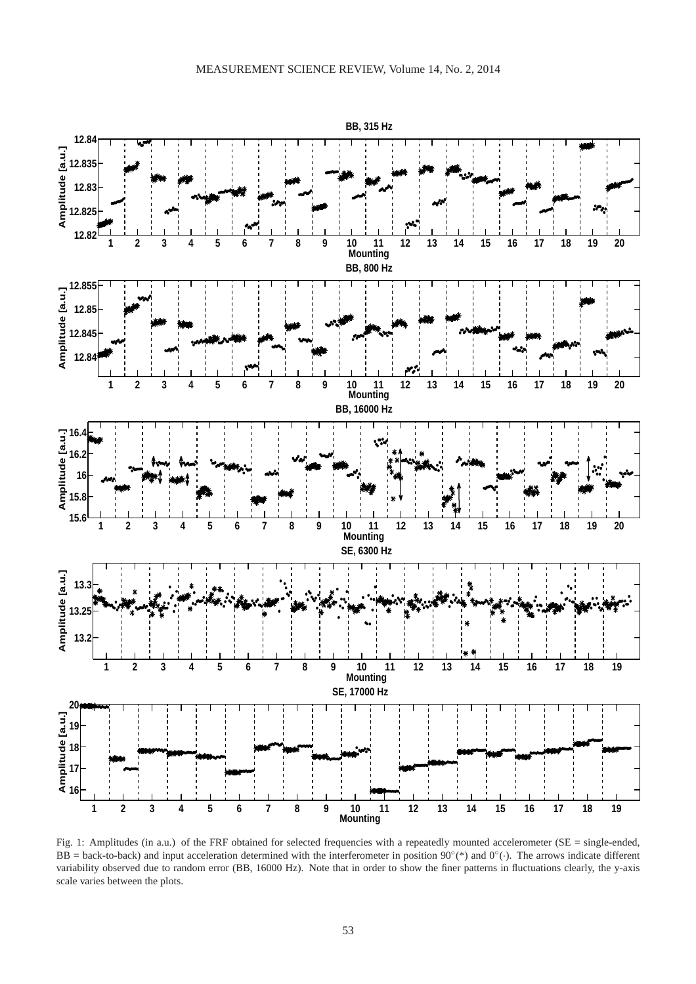<span id="page-1-0"></span>

Fig. 1: Amplitudes (in a.u.) of the FRF obtained for selected frequencies with a repeatedly mounted accelerometer ( $SE = single$ -ended, BB = back-to-back) and input acceleration determined with the interferometer in position  $90^\circ$ (\*) and  $0^\circ$ (·). The arrows indicate different variability observed due to random error (BB, 16000 Hz). Note that in order to show the finer patterns in fluctuations clearly, the y-axis scale varies between the plots.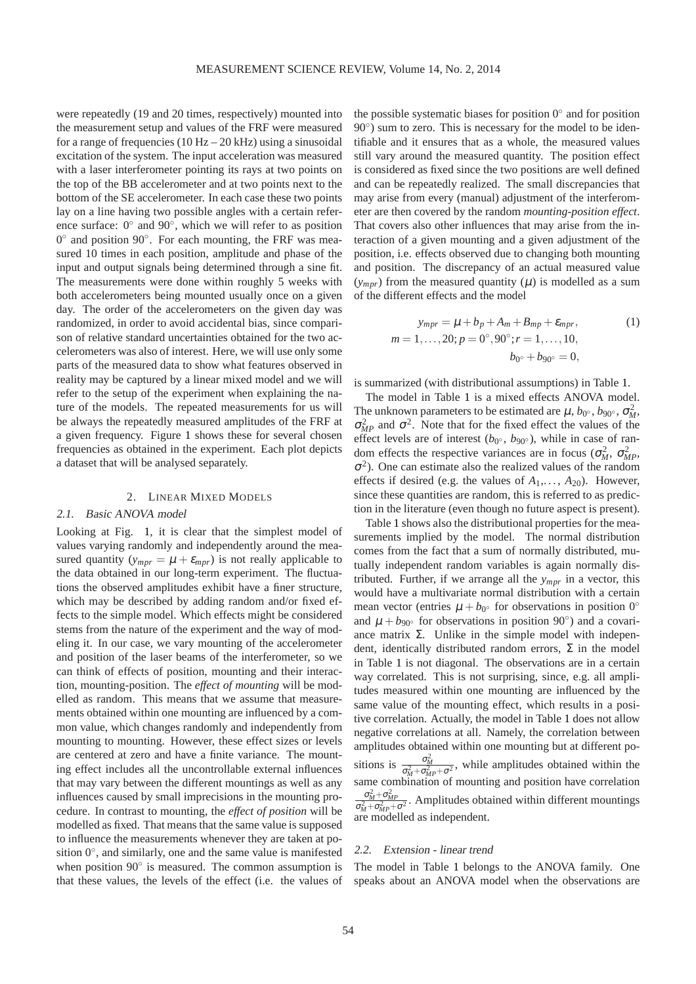were repeatedly (19 and 20 times, respectively) mounted into the measurement setup and values of the FRF were measured for a range of frequencies  $(10 Hz - 20 kHz)$  using a sinusoidal excitation of the system. The input acceleration was measured with a laser interferometer pointing its rays at two points on the top of the BB accelerometer and at two points next to the bottom of the SE accelerometer. In each case these two points lay on a line having two possible angles with a certain reference surface:  $0^\circ$  and  $90^\circ$ , which we will refer to as position 0° and position 90°. For each mounting, the FRF was measured 10 times in each position, amplitude and phase of the input and output signals being determined through a sine fit. The measurements were done within roughly 5 weeks with both accelerometers being mounted usually once on a given day. The order of the accelerometers on the given day was randomized, in order to avoid accidental bias, since comparison of relative standard uncertainties obtained for the two accelerometers was also of interest. Here, we will use only some parts of the measured data to show what features observed in reality may be captured by a linear mixed model and we will refer to the setup of the experiment when explaining the nature of the models. The repeated measurements for us will be always the repeatedly measured amplitudes of the FRF at a given frequency. Figure [1](#page-1-0) shows these for several chosen frequencies as obtained in the experiment. Each plot depicts a dataset that will be analysed separately.

### 2. LINEAR MIXED MODELS

#### <span id="page-2-0"></span>2.1. Basic ANOVA model

Looking at Fig. [1,](#page-1-0) it is clear that the simplest model of values varying randomly and independently around the measured quantity  $(y_{mpr} = \mu + \varepsilon_{mpr})$  is not really applicable to the data obtained in our long-term experiment. The fluctuations the observed amplitudes exhibit have a finer structure, which may be described by adding random and/or fixed effects to the simple model. Which effects might be considered stems from the nature of the experiment and the way of modeling it. In our case, we vary mounting of the accelerometer and position of the laser beams of the interferometer, so we can think of effects of position, mounting and their interaction, mounting-position. The *effect of mounting* will be modelled as random. This means that we assume that measurements obtained within one mounting are influenced by a common value, which changes randomly and independently from mounting to mounting. However, these effect sizes or levels are centered at zero and have a finite variance. The mounting effect includes all the uncontrollable external influences that may vary between the different mountings as well as any influences caused by small imprecisions in the mounting procedure. In contrast to mounting, the *effect of position* will be modelled as fixed. That means that the same value is supposed to influence the measurements whenever they are taken at position 0°, and similarly, one and the same value is manifested when position 90° is measured. The common assumption is that these values, the levels of the effect (i.e. the values of

the possible systematic biases for position  $0°$  and for position 90°) sum to zero. This is necessary for the model to be identifiable and it ensures that as a whole, the measured values still vary around the measured quantity. The position effect is considered as fixed since the two positions are well defined and can be repeatedly realized. The small discrepancies that may arise from every (manual) adjustment of the interferometer are then covered by the random *mounting-position effect*. That covers also other influences that may arise from the interaction of a given mounting and a given adjustment of the position, i.e. effects observed due to changing both mounting and position. The discrepancy of an actual measured value  $(y_{\text{mpr}})$  from the measured quantity  $(\mu)$  is modelled as a sum of the different effects and the model

$$
y_{mpr} = \mu + b_p + A_m + B_{mp} + \varepsilon_{mpr},
$$
  
\n
$$
m = 1, ..., 20; p = 0^{\circ}, 90^{\circ}; r = 1, ..., 10,
$$
  
\n
$$
b_{0^{\circ}} + b_{90^{\circ}} = 0,
$$
\n(1)

is summarized (with distributional assumptions) in Table [1.](#page-3-0)

The model in Table [1](#page-3-0) is a mixed effects ANOVA model. The unknown parameters to be estimated are  $\mu$ ,  $b_{0^\circ}$ ,  $b_{90^\circ}$ ,  $\sigma_M^2$ ,  $\sigma_{MP}^2$  and  $\sigma^2$ . Note that for the fixed effect the values of the effect levels are of interest  $(b_0, b_{90^{\circ}})$ , while in case of random effects the respective variances are in focus  $(\sigma_M^2, \sigma_{MP}^2)$ ,  $\sigma^2$ ). One can estimate also the realized values of the random effects if desired (e.g. the values of  $A_1, \ldots, A_{20}$ ). However, since these quantities are random, this is referred to as prediction in the literature (even though no future aspect is present).

Table [1](#page-3-0) shows also the distributional properties for the measurements implied by the model. The normal distribution comes from the fact that a sum of normally distributed, mutually independent random variables is again normally distributed. Further, if we arrange all the *ympr* in a vector, this would have a multivariate normal distribution with a certain mean vector (entries  $\mu + b_0$ <sup>o</sup> for observations in position 0<sup>°</sup> and  $\mu + b_{90°}$  for observations in position 90°) and a covariance matrix  $\Sigma$ . Unlike in the simple model with independent, identically distributed random errors,  $\Sigma$  in the model in Table [1](#page-3-0) is not diagonal. The observations are in a certain way correlated. This is not surprising, since, e.g. all amplitudes measured within one mounting are influenced by the same value of the mounting effect, which results in a positive correlation. Actually, the model in Table [1](#page-3-0) does not allow negative correlations at all. Namely, the correlation between amplitudes obtained within one mounting but at different positions is  $\frac{\sigma_M^2}{\sigma_M^2 + \sigma_{MP}^2 + \sigma^2}$ , while amplitudes obtained within the same combination of mounting and position have correlation  $\frac{\sigma_M^2 + \sigma_{MP}^2}{\sigma_M^2 + \sigma_{MP}^2 + \sigma^2}$ . Amplitudes obtained within different mountings are modelled as independent.

# <span id="page-2-1"></span>2.2. Extension - linear trend

The model in Table [1](#page-3-0) belongs to the ANOVA family. One speaks about an ANOVA model when the observations are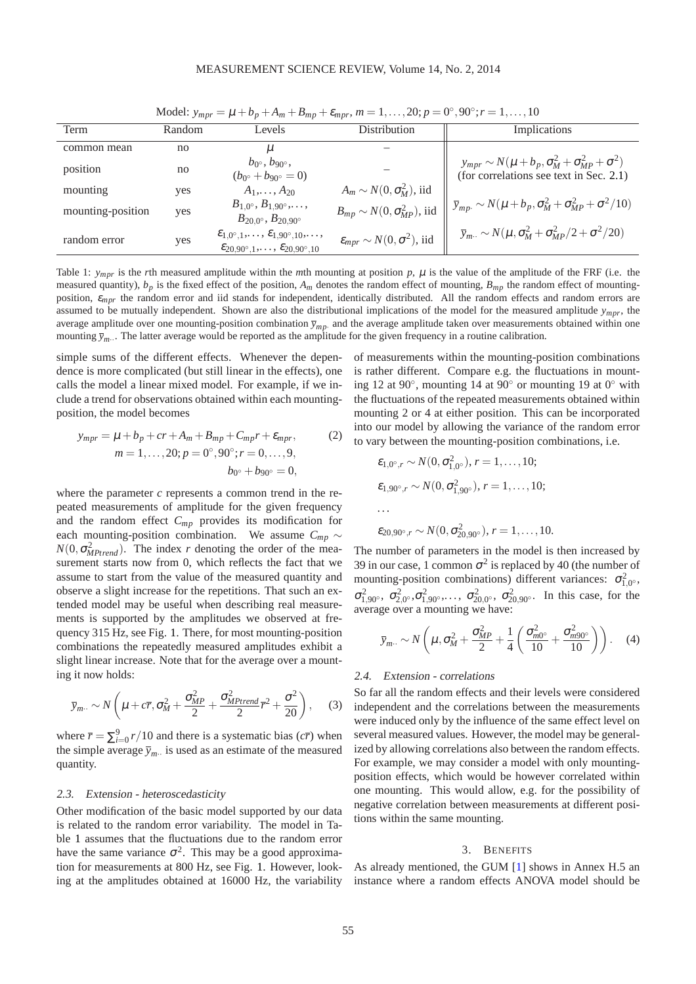<span id="page-3-0"></span>

| $\sim$ 116 $\mu$ 1<br> |        |                                                                                                                                                          |                                               |                                                                                                               |  |  |
|------------------------|--------|----------------------------------------------------------------------------------------------------------------------------------------------------------|-----------------------------------------------|---------------------------------------------------------------------------------------------------------------|--|--|
| Term                   | Random | Levels                                                                                                                                                   | Distribution                                  | Implications                                                                                                  |  |  |
| common mean            | no     | u.                                                                                                                                                       |                                               |                                                                                                               |  |  |
| position               | no     | $b_{0^\circ}, b_{90^\circ},$<br>$(b_{0^{\circ}} + b_{90^{\circ}} = 0)$                                                                                   |                                               | $y_{mpr} \sim N(\mu + b_p, \sigma_M^2 + \sigma_{MP}^2 + \sigma^2)$<br>(for correlations see text in Sec. 2.1) |  |  |
| mounting               | yes    | $A_1, \ldots, A_{20}$                                                                                                                                    | $A_m \sim N(0, \sigma_M^2)$ , iid             |                                                                                                               |  |  |
| mounting-position      | yes    | $B_{1,0^{\circ}}, B_{1,90^{\circ}}, \ldots,$<br>$B_{20,0^{\circ}}, B_{20,90^{\circ}}$                                                                    | $B_{mp} \sim N(0, \sigma_{MP}^2)$ , iid       | $\overline{y}_{mp} \sim N(\mu + b_p, \sigma_M^2 + \sigma_{MP}^2 + \sigma^2/10)$                               |  |  |
| random error           | yes    | $\mathcal{E}_{1,0^{\circ},1}, \ldots, \mathcal{E}_{1,90^{\circ},10}, \ldots,$<br>$\mathcal{E}_{20,90^{\circ},1}, \ldots, \mathcal{E}_{20,90^{\circ},10}$ | $\varepsilon_{mpr} \sim N(0, \sigma^2)$ , iid | $\overline{y}_{m}$ ~ $N(\mu, \sigma_M^2 + \sigma_{MP}^2/2 + \sigma^2/20)$                                     |  |  |

Model:  $y_{mpr} = \mu + b_p + A_m + B_{mp} + \varepsilon_{mpr}$ ,  $m = 1, ..., 20$ ;  $p = 0^{\circ}, 90^{\circ}; r = 1, ..., 10$ 

Table 1:  $y_{\text{mpr}}$  is the *r*th measured amplitude within the *m*th mounting at position p,  $\mu$  is the value of the amplitude of the FRF (i.e. the measured quantity),  $b_p$  is the fixed effect of the position,  $A_m$  denotes the random effect of mounting,  $B_{mp}$  the random effect of mountingposition, <sup>ε</sup>*mpr* the random error and iid stands for independent, identically distributed. All the random effects and random errors are assumed to be mutually independent. Shown are also the distributional implications of the model for the measured amplitude *ympr*, the average amplitude over one mounting-position combination  $\bar{y}_{mp}$  and the average amplitude taken over measurements obtained within one mounting  $\bar{y}_m$ . The latter average would be reported as the amplitude for the given frequency in a routine calibration.

simple sums of the different effects. Whenever the dependence is more complicated (but still linear in the effects), one calls the model a linear mixed model. For example, if we include a trend for observations obtained within each mountingposition, the model becomes

<span id="page-3-1"></span>
$$
y_{mpr} = \mu + b_p + cr + A_m + B_{mp} + C_{mp}r + \varepsilon_{mpr},
$$
  
\n
$$
m = 1, ..., 20; p = 0^{\circ}, 90^{\circ}; r = 0, ..., 9,
$$
  
\n
$$
b_{0^{\circ}} + b_{90^{\circ}} = 0,
$$
  
\n(2)

where the parameter *c* represents a common trend in the repeated measurements of amplitude for the given frequency and the random effect *Cmp* provides its modification for each mounting-position combination. We assume  $C_{mp} \sim$  $N(0, \sigma_{MP trend}^2)$ . The index *r* denoting the order of the measurement starts now from 0, which reflects the fact that we assume to start from the value of the measured quantity and observe a slight increase for the repetitions. That such an extended model may be useful when describing real measurements is supported by the amplitudes we observed at frequency 315 Hz, see Fig. [1.](#page-1-0) There, for most mounting-position combinations the repeatedly measured amplitudes exhibit a slight linear increase. Note that for the average over a mounting it now holds:

<span id="page-3-3"></span>
$$
\overline{y}_{m..} \sim N\left(\mu + c\overline{r}, \sigma_M^2 + \frac{\sigma_{MP}^2}{2} + \frac{\sigma_{MP trend}^2}{2}\overline{r}^2 + \frac{\sigma^2}{20}\right),\tag{3}
$$

where  $\bar{r} = \sum_{i=0}^{9} r/10$  and there is a systematic bias ( $c\bar{r}$ ) when the simple average  $\bar{y}_m$  is used as an estimate of the measured quantity.

## 2.3. Extension - heteroscedasticity

Other modification of the basic model supported by our data is related to the random error variability. The model in Table [1](#page-3-0) assumes that the fluctuations due to the random error have the same variance  $\sigma^2$ . This may be a good approximation for measurements at 800 Hz, see Fig. [1.](#page-1-0) However, looking at the amplitudes obtained at 16000 Hz, the variability

of measurements within the mounting-position combinations is rather different. Compare e.g. the fluctuations in mounting 12 at 90 $\degree$ , mounting 14 at 90 $\degree$  or mounting 19 at 0 $\degree$  with the fluctuations of the repeated measurements obtained within mounting 2 or 4 at either position. This can be incorporated into our model by allowing the variance of the random error to vary between the mounting-position combinations, i.e.

$$
\varepsilon_{1,0^{\circ},r} \sim N(0, \sigma_{1,0^{\circ}}^2), r = 1, ..., 10;
$$
  
\n
$$
\varepsilon_{1,90^{\circ},r} \sim N(0, \sigma_{1,90^{\circ}}^2), r = 1, ..., 10;
$$
  
\n...  
\n
$$
\varepsilon_{20,90^{\circ},r} \sim N(0, \sigma_{20,90^{\circ}}^2), r = 1, ..., 10.
$$

The number of parameters in the model is then increased by 39 in our case, 1 common  $\sigma^2$  is replaced by 40 (the number of mounting-position combinations) different variances:  $\sigma_{1,0}^2$ ,  $\sigma_{1,90^\circ}^2$ ,  $\sigma_{2,0^\circ}^2$ , $\sigma_{1,90^\circ}^2$ ,...,  $\sigma_{20,0^\circ}^2$ ,  $\sigma_{20,90^\circ}^2$ . In this case, for the average over a mounting we have:

<span id="page-3-4"></span>
$$
\overline{y}_{m..} \sim N\left(\mu, \sigma_M^2 + \frac{\sigma_{MP}^2}{2} + \frac{1}{4}\left(\frac{\sigma_{m0^{\circ}}^2}{10} + \frac{\sigma_{m90^{\circ}}^2}{10}\right)\right).
$$
 (4)

## 2.4. Extension - correlations

So far all the random effects and their levels were considered independent and the correlations between the measurements were induced only by the influence of the same effect level on several measured values. However, the model may be generalized by allowing correlations also between the random effects. For example, we may consider a model with only mountingposition effects, which would be however correlated within one mounting. This would allow, e.g. for the possibility of negative correlation between measurements at different positions within the same mounting.

## 3. BENEFITS

<span id="page-3-2"></span>As already mentioned, the GUM [\[1\]](#page-9-0) shows in Annex H.5 an instance where a random effects ANOVA model should be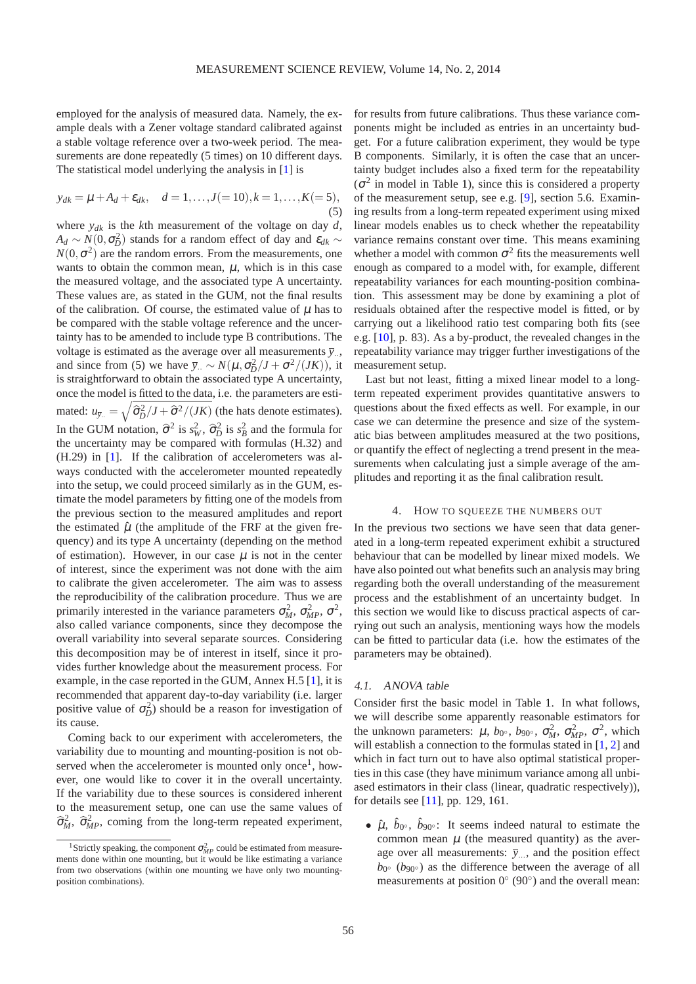employed for the analysis of measured data. Namely, the example deals with a Zener voltage standard calibrated against a stable voltage reference over a two-week period. The measurements are done repeatedly (5 times) on 10 different days. The statistical model underlying the analysis in [\[1\]](#page-9-0) is

<span id="page-4-0"></span>
$$
y_{dk} = \mu + A_d + \varepsilon_{dk}, \quad d = 1, ..., J(= 10), k = 1, ..., K(= 5),
$$
 (5)

where *ydk* is the *k*th measurement of the voltage on day *d*,  $A_d \sim N(0, \sigma_D^2)$  stands for a random effect of day and  $\varepsilon_{dk} \sim$  $N(0, \sigma^2)$  are the random errors. From the measurements, one wants to obtain the common mean,  $\mu$ , which is in this case the measured voltage, and the associated type A uncertainty. These values are, as stated in the GUM, not the final results of the calibration. Of course, the estimated value of  $\mu$  has to be compared with the stable voltage reference and the uncertainty has to be amended to include type B contributions. The voltage is estimated as the average over all measurements  $\bar{y}$ <sub>.</sub>. and since from [\(5\)](#page-4-0) we have  $\bar{y}$ . ~  $N(\mu, \sigma_D^2/J + \sigma^2/(JK))$ , it is straightforward to obtain the associated type A uncertainty, once the model is fitted to the data, i.e. the parameters are estimated:  $u_{\bar{y}_n} = \sqrt{\frac{y_n}{n}}$  $\hat{\sigma}_D^2/J + \hat{\sigma}^2/(JK)$  (the hats denote estimates). In the GUM notation,  $\hat{\sigma}^2$  is  $s_W^2$ ,  $\hat{\sigma}_D^2$  is  $s_B^2$  and the formula for the uncertainty may be compared with formulas (H.32) and (H.29) in [\[1\]](#page-9-0). If the calibration of accelerometers was always conducted with the accelerometer mounted repeatedly into the setup, we could proceed similarly as in the GUM, estimate the model parameters by fitting one of the models from the previous section to the measured amplitudes and report the estimated  $\hat{\mu}$  (the amplitude of the FRF at the given frequency) and its type A uncertainty (depending on the method of estimation). However, in our case  $\mu$  is not in the center of interest, since the experiment was not done with the aim to calibrate the given accelerometer. The aim was to assess the reproducibility of the calibration procedure. Thus we are primarily interested in the variance parameters  $\sigma_M^2$ ,  $\sigma_{MP}^2$ ,  $\sigma^2$ , also called variance components, since they decompose the overall variability into several separate sources. Considering this decomposition may be of interest in itself, since it provides further knowledge about the measurement process. For example, in the case reported in the GUM, Annex H.5 [\[1\]](#page-9-0), it is recommended that apparent day-to-day variability (i.e. larger positive value of  $\sigma_D^2$ ) should be a reason for investigation of its cause.

Coming back to our experiment with accelerometers, the variability due to mounting and mounting-position is not ob-served when the accelerometer is mounted only once<sup>[1](#page-4-1)</sup>, however, one would like to cover it in the overall uncertainty. If the variability due to these sources is considered inherent to the measurement setup, one can use the same values of  $\hat{\sigma}_M^2$ ,  $\hat{\sigma}_{MP}^2$ , coming from the long-term repeated experiment,

for results from future calibrations. Thus these variance components might be included as entries in an uncertainty budget. For a future calibration experiment, they would be type B components. Similarly, it is often the case that an uncertainty budget includes also a fixed term for the repeatability  $(\sigma^2$  in model in Table [1\)](#page-3-0), since this is considered a property of the measurement setup, see e.g. [\[9\]](#page-9-8), section 5.6. Examining results from a long-term repeated experiment using mixed linear models enables us to check whether the repeatability variance remains constant over time. This means examining whether a model with common  $\sigma^2$  fits the measurements well enough as compared to a model with, for example, different repeatability variances for each mounting-position combination. This assessment may be done by examining a plot of residuals obtained after the respective model is fitted, or by carrying out a likelihood ratio test comparing both fits (see e.g. [\[10\]](#page-9-9), p. 83). As a by-product, the revealed changes in the repeatability variance may trigger further investigations of the measurement setup.

Last but not least, fitting a mixed linear model to a longterm repeated experiment provides quantitative answers to questions about the fixed effects as well. For example, in our case we can determine the presence and size of the systematic bias between amplitudes measured at the two positions, or quantify the effect of neglecting a trend present in the measurements when calculating just a simple average of the amplitudes and reporting it as the final calibration result.

#### 4. HOW TO SQUEEZE THE NUMBERS OUT

In the previous two sections we have seen that data generated in a long-term repeated experiment exhibit a structured behaviour that can be modelled by linear mixed models. We have also pointed out what benefits such an analysis may bring regarding both the overall understanding of the measurement process and the establishment of an uncertainty budget. In this section we would like to discuss practical aspects of carrying out such an analysis, mentioning ways how the models can be fitted to particular data (i.e. how the estimates of the parameters may be obtained).

## <span id="page-4-2"></span>4.1. ANOVA table

Consider first the basic model in Table [1.](#page-3-0) In what follows, we will describe some apparently reasonable estimators for the unknown parameters:  $\mu$ ,  $b_0$ ,  $b_{90}$ ,  $\sigma_M^2$ ,  $\sigma_{MP}^2$ ,  $\sigma^2$ , which will establish a connection to the formulas stated in [\[1,](#page-9-0) [2\]](#page-9-1) and which in fact turn out to have also optimal statistical properties in this case (they have minimum variance among all unbiased estimators in their class (linear, quadratic respectively)), for details see [\[11\]](#page-9-10), pp. 129, 161.

•  $\hat{\mu}$ ,  $\hat{b}_{0^\circ}$ ,  $\hat{b}_{90^\circ}$ : It seems indeed natural to estimate the common mean  $\mu$  (the measured quantity) as the average over all measurements:  $\bar{y}$ <sub>…</sub>, and the position effect  $b_{0}$  ( $b_{90}$ °) as the difference between the average of all measurements at position  $0^{\circ}$  (90 $^{\circ}$ ) and the overall mean:

<span id="page-4-1"></span><sup>&</sup>lt;sup>1</sup>Strictly speaking, the component  $\sigma_{MP}^2$  could be estimated from measurements done within one mounting, but it would be like estimating a variance from two observations (within one mounting we have only two mountingposition combinations).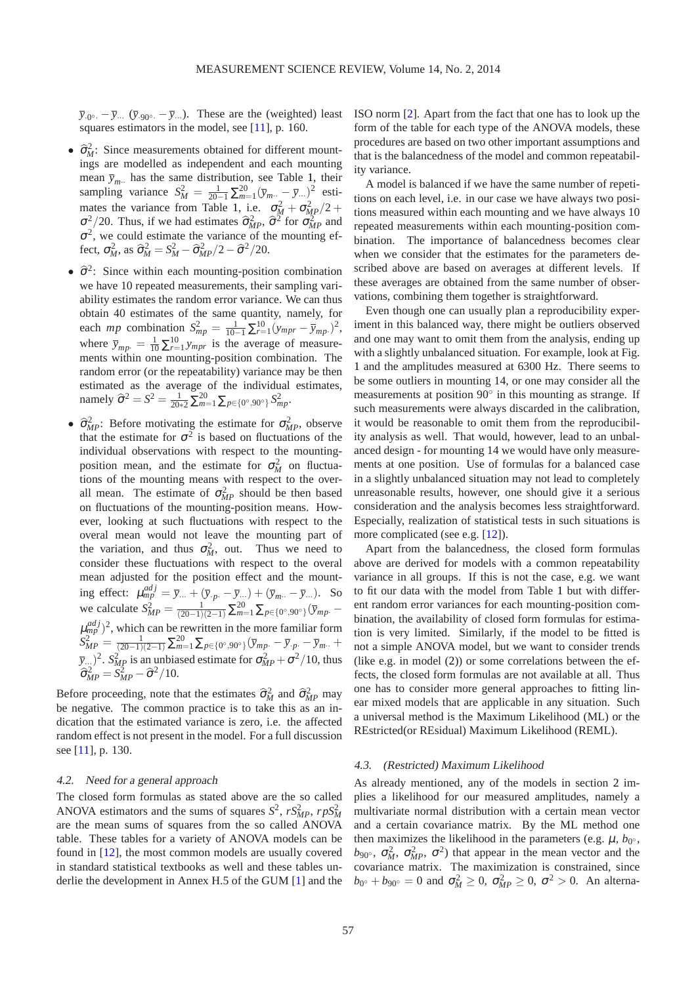$\overline{y}_{0^{\circ}}$ . –  $\overline{y}_{\cdots}$  ( $\overline{y}_{.90^{\circ}}$ . –  $\overline{y}_{\cdots}$ ). These are the (weighted) least squares estimators in the model, see [\[11\]](#page-9-10), p. 160.

- $\hat{\sigma}_M^2$ : Since measurements obtained for different mountings are modelled as independent and each mounting mean  $\bar{y}_m$  has the same distribution, see Table [1,](#page-3-0) their sampling variance  $S_M^2 = \frac{1}{20-1} \sum_{m=1}^{20} (\bar{y}_m - \bar{y}_m)^2$  esti-mates the variance from Table [1,](#page-3-0) i.e.  $\sigma_M^2 + \sigma_{MP}^2/2 + \sigma^2/20$ . Thus, if we had estimates  $\hat{\sigma}_{MP}^2$ ,  $\hat{\sigma}^2$  for  $\sigma_{MP}^2$  and  $\sigma^2$ , we could estimate the variance of the mounting effect,  $\sigma_M^2$ , as  $\hat{\sigma}_M^2 = S_M^2 - \hat{\sigma}_{MP}^2/2 - \hat{\sigma}^2/20$ .
- $\hat{\sigma}^2$ : Since within each mounting-position combination we have 10 repeated measurements, their sampling variability estimates the random error variance. We can thus obtain 40 estimates of the same quantity, namely, for each *mp* combination  $S_{mp}^2 = \frac{1}{10-1} \sum_{r=1}^{10} (y_{mpr} - \overline{y}_{mp})^2$ , where  $\bar{y}_{mp} = \frac{1}{10} \sum_{r=1}^{10} y_{mpr}$  is the average of measurements within one mounting-position combination. The random error (or the repeatability) variance may be then estimated as the average of the individual estimates, namely  $\hat{\sigma}^2 = S^2 = \frac{1}{20*2} \sum_{m=1}^{20} \sum_{p \in \{0^\circ, 90^\circ\}} S_{mp}^2$ .
- $\hat{\sigma}_{MP}^2$ : Before motivating the estimate for  $\sigma_{MP}^2$ , observe that the estimate for  $\sigma^2$  is based on fluctuations of the individual observations with respect to the mountingposition mean, and the estimate for  $\sigma_M^2$  on fluctuations of the mounting means with respect to the overall mean. The estimate of  $\sigma_{MP}^2$  should be then based on fluctuations of the mounting-position means. However, looking at such fluctuations with respect to the overal mean would not leave the mounting part of the variation, and thus  $\sigma_M^2$ , out. Thus we need to consider these fluctuations with respect to the overal mean adjusted for the position effect and the mounting effect:  $\mu_{mp}^{adj} = \bar{y}_{...} + (\bar{y}_{.p} - \bar{y}_{...}) + (\bar{y}_{m} - \bar{y}_{...}).$  So we calculate  $S_{MP}^2 = \frac{1}{(20-1)(2-1)} \sum_{m=1}^{20} \sum_{p \in \{0^\circ, 90^\circ\}} (\bar{y}_{mp} \mu_{mp}^{adj}$ )<sup>2</sup>, which can be rewritten in the more familiar form  $S_{MP}^2 = \frac{1}{(20-1)(2-1)} \sum_{m=1}^{20} \sum_{p \in \{0^\circ, 90^\circ\}} (\bar{y}_{mp} - \bar{y}_{\cdot p} - \bar{y}_{\cdot m} +$  $(\overline{y})^2$ .  $S_{MP}^2$  is an unbiased estimate for  $\sigma_{MP}^2 + \sigma^2/10$ , thus  $\widehat{\sigma}_{MP}^2 = \widehat{S}_{MP}^2 - \widehat{\sigma}^2/10.$

Before proceeding, note that the estimates  $\hat{\sigma}_M^2$  and  $\hat{\sigma}_{MP}^2$  may be negative. The common practice is to take this as an indication that the estimated variance is zero, i.e. the affected random effect is not present in the model. For a full discussion see [\[11\]](#page-9-10), p. 130.

## 4.2. Need for <sup>a</sup> general approach

The closed form formulas as stated above are the so called ANOVA estimators and the sums of squares  $S^2$ ,  $rS_{MP}^2$ ,  $rps_M^2$ are the mean sums of squares from the so called ANOVA table. These tables for a variety of ANOVA models can be found in [\[12\]](#page-9-11), the most common models are usually covered in standard statistical textbooks as well and these tables underlie the development in Annex H.5 of the GUM [\[1\]](#page-9-0) and the ISO norm [\[2\]](#page-9-1). Apart from the fact that one has to look up the form of the table for each type of the ANOVA models, these procedures are based on two other important assumptions and that is the balancedness of the model and common repeatability variance.

A model is balanced if we have the same number of repetitions on each level, i.e. in our case we have always two positions measured within each mounting and we have always 10 repeated measurements within each mounting-position combination. The importance of balancedness becomes clear when we consider that the estimates for the parameters described above are based on averages at different levels. If these averages are obtained from the same number of observations, combining them together is straightforward.

Even though one can usually plan a reproducibility experiment in this balanced way, there might be outliers observed and one may want to omit them from the analysis, ending up with a slightly unbalanced situation. For example, look at Fig. [1](#page-1-0) and the amplitudes measured at 6300 Hz. There seems to be some outliers in mounting 14, or one may consider all the measurements at position 90° in this mounting as strange. If such measurements were always discarded in the calibration, it would be reasonable to omit them from the reproducibility analysis as well. That would, however, lead to an unbalanced design - for mounting 14 we would have only measurements at one position. Use of formulas for a balanced case in a slightly unbalanced situation may not lead to completely unreasonable results, however, one should give it a serious consideration and the analysis becomes less straightforward. Especially, realization of statistical tests in such situations is more complicated (see e.g. [\[12\]](#page-9-11)).

Apart from the balancedness, the closed form formulas above are derived for models with a common repeatability variance in all groups. If this is not the case, e.g. we want to fit our data with the model from Table [1](#page-3-0) but with different random error variances for each mounting-position combination, the availability of closed form formulas for estimation is very limited. Similarly, if the model to be fitted is not a simple ANOVA model, but we want to consider trends (like e.g. in model [\(2\)](#page-3-1)) or some correlations between the effects, the closed form formulas are not available at all. Thus one has to consider more general approaches to fitting linear mixed models that are applicable in any situation. Such a universal method is the Maximum Likelihood (ML) or the REstricted(or REsidual) Maximum Likelihood (REML).

## 4.3. (Restricted) Maximum Likelihood

As already mentioned, any of the models in section [2](#page-3-0) implies a likelihood for our measured amplitudes, namely a multivariate normal distribution with a certain mean vector and a certain covariance matrix. By the ML method one then maximizes the likelihood in the parameters (e.g.  $\mu$ ,  $b_{0\circ}$ ,  $b_{90°}$ ,  $\sigma_M^2$ ,  $\sigma_{MP}^2$ ,  $\sigma^2$ ) that appear in the mean vector and the covariance matrix. The maximization is constrained, since  $b_{0^{\circ}} + b_{90^{\circ}} = 0$  and  $\sigma_M^2 \ge 0$ ,  $\sigma_{MP}^2 \ge 0$ ,  $\sigma^2 > 0$ . An alterna-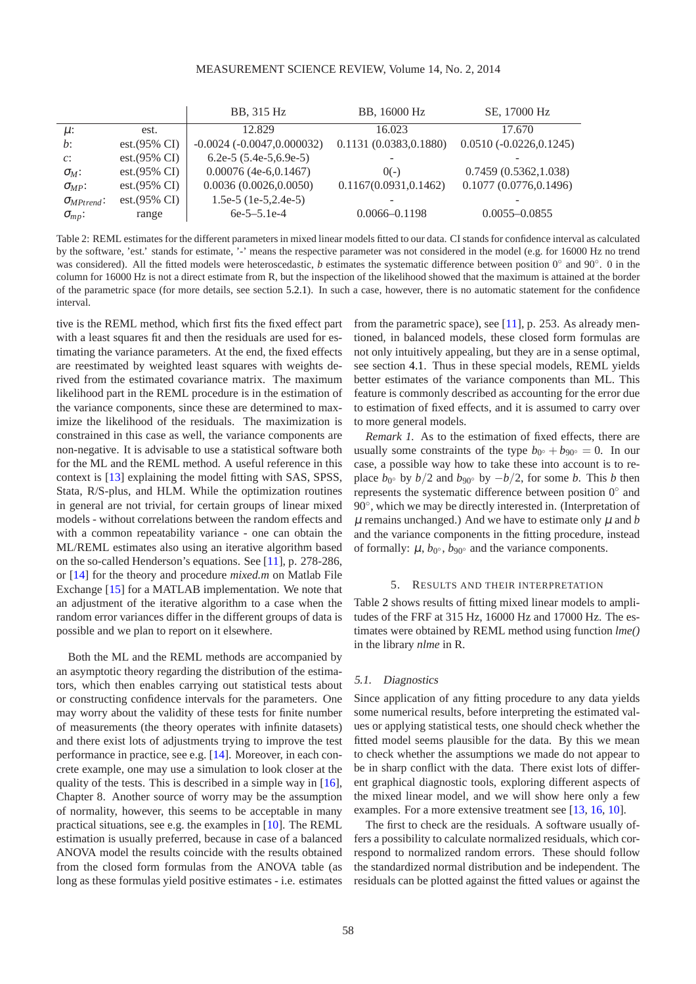## MEASUREMENT SCIENCE REVIEW, Volume 14, No. 2, 2014

<span id="page-6-0"></span>

|                       |                          | BB, 315 Hz                   | BB, 16000 Hz           | SE, 17000 Hz              |
|-----------------------|--------------------------|------------------------------|------------------------|---------------------------|
| $\mu$ :               | est.                     | 12.829                       | 16.023                 | 17.670                    |
| $b$ :                 | est. $(95\% \text{ CI})$ | $-0.0024(-0.0047, 0.000032)$ | 0.1131(0.0383, 0.1880) | $0.0510(-0.0226, 0.1245)$ |
| $\mathcal{C}$ :       | est. $(95\% \text{ CI})$ | 6.2e-5 $(5.4e-5.6.9e-5)$     |                        |                           |
| $\sigma_M$ :          | est. $(95\% \text{ CI})$ | $0.00076$ (4e-6,0.1467)      | $0(-)$                 | 0.7459(0.5362,1.038)      |
| $\sigma_{MP}$ :       | est. $(95\% \text{ CI})$ | 0.0036(0.0026, 0.0050)       | 0.1167(0.0931, 0.1462) | 0.1077(0.0776, 0.1496)    |
| $\sigma_{MP trend}$ : | est. $(95\% \text{ CI})$ | $1.5e-5$ (1e-5,2.4e-5)       |                        |                           |
| $\sigma_{mp}$ :       | range                    | $6e-5-5.1e-4$                | $0.0066 - 0.1198$      | $0.0055 - 0.0855$         |

Table 2: REML estimates for the different parameters in mixed linear models fitted to our data. CI stands for confidence interval as calculated by the software, 'est.' stands for estimate, '-' means the respective parameter was not considered in the model (e.g. for 16000 Hz no trend was considered). All the fitted models were heteroscedastic, *b* estimates the systematic difference between position 0° and 90°. 0 in the column for 16000 Hz is not a direct estimate from R, but the inspection of the likelihood showed that the maximum is attained at the border of the parametric space (for more details, see section [5.2.1\)](#page-7-0). In such a case, however, there is no automatic statement for the confidence interval.

tive is the REML method, which first fits the fixed effect part with a least squares fit and then the residuals are used for estimating the variance parameters. At the end, the fixed effects are reestimated by weighted least squares with weights derived from the estimated covariance matrix. The maximum likelihood part in the REML procedure is in the estimation of the variance components, since these are determined to maximize the likelihood of the residuals. The maximization is constrained in this case as well, the variance components are non-negative. It is advisable to use a statistical software both for the ML and the REML method. A useful reference in this context is [\[13\]](#page-9-12) explaining the model fitting with SAS, SPSS, Stata, R/S-plus, and HLM. While the optimization routines in general are not trivial, for certain groups of linear mixed models - without correlations between the random effects and with a common repeatability variance - one can obtain the ML/REML estimates also using an iterative algorithm based on the so-called Henderson's equations. See [\[11\]](#page-9-10), p. 278-286, or [\[14\]](#page-9-13) for the theory and procedure *mixed.m* on Matlab File Exchange [\[15\]](#page-9-14) for a MATLAB implementation. We note that an adjustment of the iterative algorithm to a case when the random error variances differ in the different groups of data is possible and we plan to report on it elsewhere.

Both the ML and the REML methods are accompanied by an asymptotic theory regarding the distribution of the estimators, which then enables carrying out statistical tests about or constructing confidence intervals for the parameters. One may worry about the validity of these tests for finite number of measurements (the theory operates with infinite datasets) and there exist lots of adjustments trying to improve the test performance in practice, see e.g. [\[14\]](#page-9-13). Moreover, in each concrete example, one may use a simulation to look closer at the quality of the tests. This is described in a simple way in [\[16\]](#page-9-15), Chapter 8. Another source of worry may be the assumption of normality, however, this seems to be acceptable in many practical situations, see e.g. the examples in [\[10\]](#page-9-9). The REML estimation is usually preferred, because in case of a balanced ANOVA model the results coincide with the results obtained from the closed form formulas from the ANOVA table (as long as these formulas yield positive estimates - i.e. estimates

from the parametric space), see [\[11\]](#page-9-10), p. 253. As already mentioned, in balanced models, these closed form formulas are not only intuitively appealing, but they are in a sense optimal, see section [4.1.](#page-4-2) Thus in these special models, REML yields better estimates of the variance components than ML. This feature is commonly described as accounting for the error due to estimation of fixed effects, and it is assumed to carry over to more general models.

*Remark 1.* As to the estimation of fixed effects, there are usually some constraints of the type  $b_{0}$ <sup> $\circ$ </sup> +  $b_{90$ <sup> $\circ$ </sup> = 0. In our case, a possible way how to take these into account is to replace  $b_{0}$  by  $b/2$  and  $b_{90}$  by  $-b/2$ , for some *b*. This *b* then represents the systematic difference between position 0° and 90°, which we may be directly interested in. (Interpretation of  $\mu$  remains unchanged.) And we have to estimate only  $\mu$  and  $b$ and the variance components in the fitting procedure, instead of formally:  $\mu$ ,  $b_{0^\circ}$ ,  $b_{90^\circ}$  and the variance components.

## 5. RESULTS AND THEIR INTERPRETATION

Table [2](#page-6-0) shows results of fitting mixed linear models to amplitudes of the FRF at 315 Hz, 16000 Hz and 17000 Hz. The estimates were obtained by REML method using function *lme()* in the library *nlme* in R.

### 5.1. Diagnostics

Since application of any fitting procedure to any data yields some numerical results, before interpreting the estimated values or applying statistical tests, one should check whether the fitted model seems plausible for the data. By this we mean to check whether the assumptions we made do not appear to be in sharp conflict with the data. There exist lots of different graphical diagnostic tools, exploring different aspects of the mixed linear model, and we will show here only a few examples. For a more extensive treatment see [\[13,](#page-9-12) [16,](#page-9-15) [10\]](#page-9-9).

The first to check are the residuals. A software usually offers a possibility to calculate normalized residuals, which correspond to normalized random errors. These should follow the standardized normal distribution and be independent. The residuals can be plotted against the fitted values or against the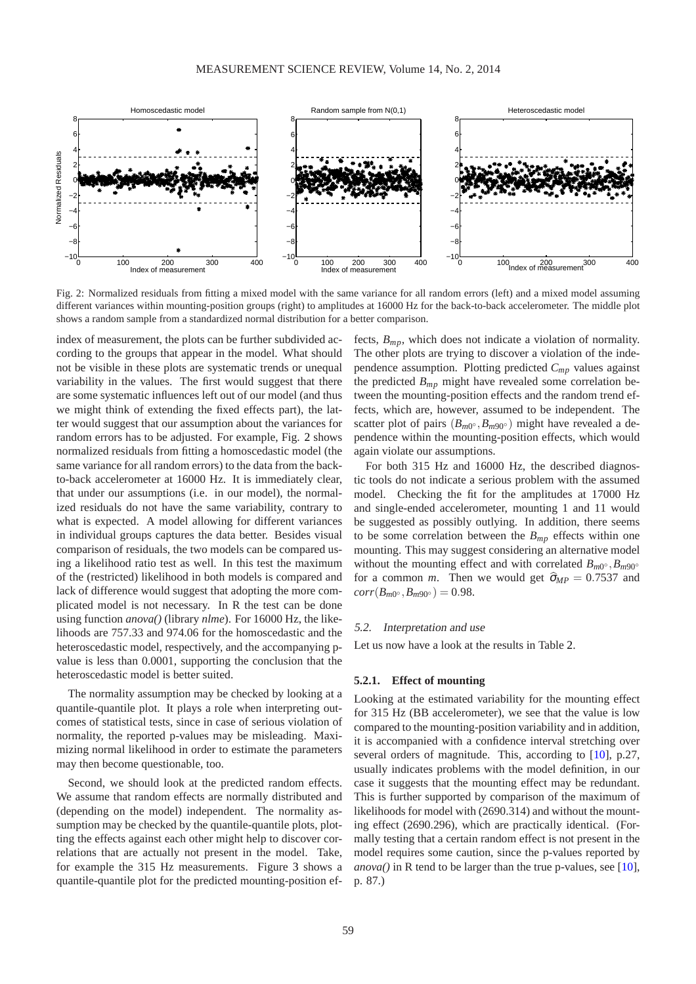<span id="page-7-1"></span>

Fig. 2: Normalized residuals from fitting a mixed model with the same variance for all random errors (left) and a mixed model assuming different variances within mounting-position groups (right) to amplitudes at 16000 Hz for the back-to-back accelerometer. The middle plot shows a random sample from a standardized normal distribution for a better comparison.

index of measurement, the plots can be further subdivided according to the groups that appear in the model. What should not be visible in these plots are systematic trends or unequal variability in the values. The first would suggest that there are some systematic influences left out of our model (and thus we might think of extending the fixed effects part), the latter would suggest that our assumption about the variances for random errors has to be adjusted. For example, Fig. [2](#page-7-1) shows normalized residuals from fitting a homoscedastic model (the same variance for all random errors) to the data from the backto-back accelerometer at 16000 Hz. It is immediately clear, that under our assumptions (i.e. in our model), the normalized residuals do not have the same variability, contrary to what is expected. A model allowing for different variances in individual groups captures the data better. Besides visual comparison of residuals, the two models can be compared using a likelihood ratio test as well. In this test the maximum of the (restricted) likelihood in both models is compared and lack of difference would suggest that adopting the more complicated model is not necessary. In R the test can be done using function *anova()* (library *nlme*). For 16000 Hz, the likelihoods are 757.33 and 974.06 for the homoscedastic and the heteroscedastic model, respectively, and the accompanying pvalue is less than 0.0001, supporting the conclusion that the heteroscedastic model is better suited.

The normality assumption may be checked by looking at a quantile-quantile plot. It plays a role when interpreting outcomes of statistical tests, since in case of serious violation of normality, the reported p-values may be misleading. Maximizing normal likelihood in order to estimate the parameters may then become questionable, too.

Second, we should look at the predicted random effects. We assume that random effects are normally distributed and (depending on the model) independent. The normality assumption may be checked by the quantile-quantile plots, plotting the effects against each other might help to discover correlations that are actually not present in the model. Take, for example the 315 Hz measurements. Figure [3](#page-8-0) shows a quantile-quantile plot for the predicted mounting-position ef-

fects, *Bmp*, which does not indicate a violation of normality. The other plots are trying to discover a violation of the independence assumption. Plotting predicted *Cmp* values against the predicted  $B_{mp}$  might have revealed some correlation between the mounting-position effects and the random trend effects, which are, however, assumed to be independent. The scatter plot of pairs  $(B_{m0^{\circ}}, B_{m90^{\circ}})$  might have revealed a dependence within the mounting-position effects, which would again violate our assumptions.

For both 315 Hz and 16000 Hz, the described diagnostic tools do not indicate a serious problem with the assumed model. Checking the fit for the amplitudes at 17000 Hz and single-ended accelerometer, mounting 1 and 11 would be suggested as possibly outlying. In addition, there seems to be some correlation between the  $B_{mp}$  effects within one mounting. This may suggest considering an alternative model without the mounting effect and with correlated  $B_{m0^{\circ}}, B_{m90^{\circ}}$ for a common *m*. Then we would get  $\hat{\sigma}_{MP} = 0.7537$  and  $corr(B_{m0^{\circ}},B_{m90^{\circ}})=0.98.$ 

### 5.2. Interpretation and use

Let us now have a look at the results in Table [2.](#page-6-0)

## <span id="page-7-0"></span>**5.2.1. Effect of mounting**

Looking at the estimated variability for the mounting effect for 315 Hz (BB accelerometer), we see that the value is low compared to the mounting-position variability and in addition, it is accompanied with a confidence interval stretching over several orders of magnitude. This, according to [\[10\]](#page-9-9), p.27, usually indicates problems with the model definition, in our case it suggests that the mounting effect may be redundant. This is further supported by comparison of the maximum of likelihoods for model with (2690.314) and without the mounting effect (2690.296), which are practically identical. (Formally testing that a certain random effect is not present in the model requires some caution, since the p-values reported by *anova()* in R tend to be larger than the true p-values, see [\[10\]](#page-9-9), p. 87.)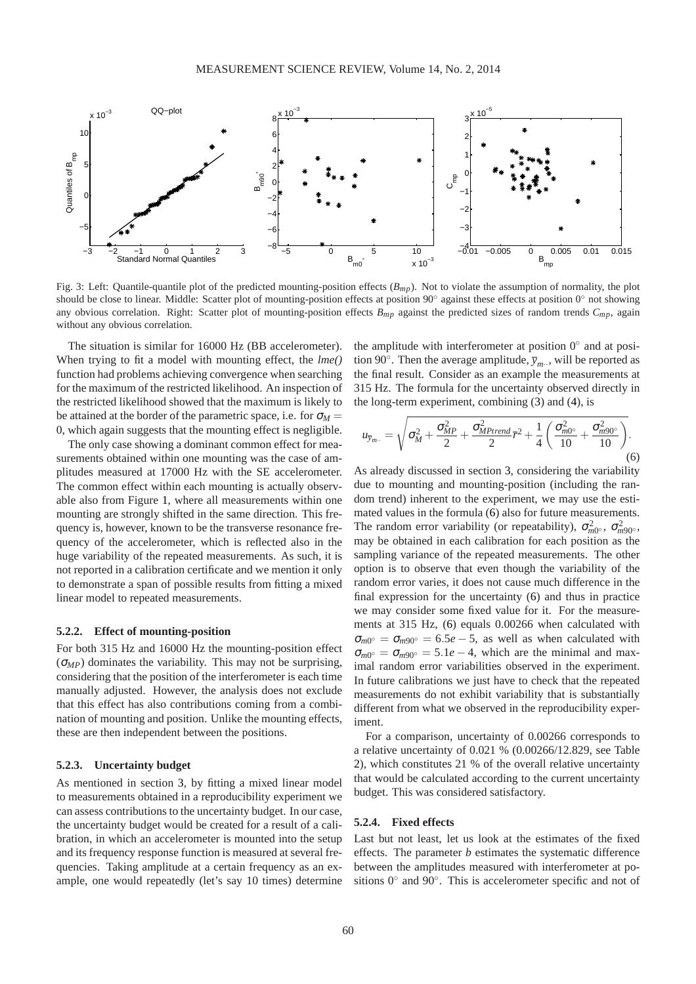<span id="page-8-0"></span>

Fig. 3: Left: Quantile-quantile plot of the predicted mounting-position effects (*Bmp*). Not to violate the assumption of normality, the plot should be close to linear. Middle: Scatter plot of mounting-position effects at position 90° against these effects at position 0° not showing any obvious correlation. Right: Scatter plot of mounting-position effects *Bmp* against the predicted sizes of random trends *Cmp*, again without any obvious correlation.

The situation is similar for 16000 Hz (BB accelerometer). When trying to fit a model with mounting effect, the *lme()* function had problems achieving convergence when searching for the maximum of the restricted likelihood. An inspection of the restricted likelihood showed that the maximum is likely to be attained at the border of the parametric space, i.e. for  $\sigma_M$ 0, which again suggests that the mounting effect is negligible.

The only case showing a dominant common effect for measurements obtained within one mounting was the case of amplitudes measured at 17000 Hz with the SE accelerometer. The common effect within each mounting is actually observable also from Figure [1,](#page-1-0) where all measurements within one mounting are strongly shifted in the same direction. This frequency is, however, known to be the transverse resonance frequency of the accelerometer, which is reflected also in the huge variability of the repeated measurements. As such, it is not reported in a calibration certificate and we mention it only to demonstrate a span of possible results from fitting a mixed linear model to repeated measurements.

## **5.2.2. Effect of mounting-position**

For both 315 Hz and 16000 Hz the mounting-position effect  $(\sigma_{MP})$  dominates the variability. This may not be surprising, considering that the position of the interferometer is each time manually adjusted. However, the analysis does not exclude that this effect has also contributions coming from a combination of mounting and position. Unlike the mounting effects, these are then independent between the positions.

### **5.2.3. Uncertainty budget**

As mentioned in section [3,](#page-3-2) by fitting a mixed linear model to measurements obtained in a reproducibility experiment we can assess contributions to the uncertainty budget. In our case, the uncertainty budget would be created for a result of a calibration, in which an accelerometer is mounted into the setup and its frequency response function is measured at several frequencies. Taking amplitude at a certain frequency as an example, one would repeatedly (let's say 10 times) determine

the amplitude with interferometer at position  $0^\circ$  and at position 90 $^{\circ}$ . Then the average amplitude,  $\bar{y}_m$ ..., will be reported as the final result. Consider as an example the measurements at 315 Hz. The formula for the uncertainty observed directly in the long-term experiment, combining [\(3\)](#page-3-3) and [\(4\)](#page-3-4), is

<span id="page-8-1"></span>
$$
u_{\bar{y}_{m..}} = \sqrt{\sigma_M^2 + \frac{\sigma_{MP}^2}{2} + \frac{\sigma_{MP trend}^2}{2}\bar{r}^2 + \frac{1}{4}\left(\frac{\sigma_{m0^\circ}^2}{10} + \frac{\sigma_{m90^\circ}^2}{10}\right)}.
$$
(6)

As already discussed in section [3,](#page-3-2) considering the variability due to mounting and mounting-position (including the random trend) inherent to the experiment, we may use the estimated values in the formula [\(6\)](#page-8-1) also for future measurements. The random error variability (or repeatability),  $\sigma_{m0^{\circ}}^2$ ,  $\sigma_{m90^{\circ}}^2$ , may be obtained in each calibration for each position as the sampling variance of the repeated measurements. The other option is to observe that even though the variability of the random error varies, it does not cause much difference in the final expression for the uncertainty [\(6\)](#page-8-1) and thus in practice we may consider some fixed value for it. For the measurements at 315 Hz, [\(6\)](#page-8-1) equals 0.00266 when calculated with  $\sigma_{m0^{\circ}} = \sigma_{m90^{\circ}} = 6.5e - 5$ , as well as when calculated with  $\sigma_{m0^{\circ}} = \sigma_{m90^{\circ}} = 5.1e - 4$ , which are the minimal and maximal random error variabilities observed in the experiment. In future calibrations we just have to check that the repeated measurements do not exhibit variability that is substantially different from what we observed in the reproducibility experiment.

For a comparison, uncertainty of 0.00266 corresponds to a relative uncertainty of 0.021 % (0.00266/12.829, see Table [2\)](#page-6-0), which constitutes 21 % of the overall relative uncertainty that would be calculated according to the current uncertainty budget. This was considered satisfactory.

## **5.2.4. Fixed effects**

Last but not least, let us look at the estimates of the fixed effects. The parameter *b* estimates the systematic difference between the amplitudes measured with interferometer at positions 0° and 90°. This is accelerometer specific and not of